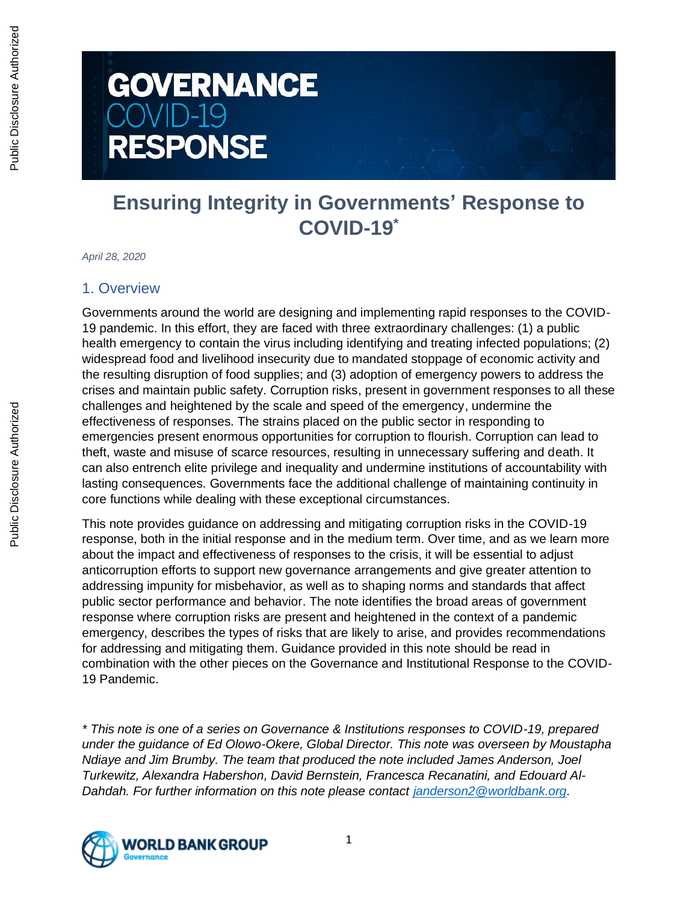# **GOVERNANCE**  $OVID-19$ **RESPONSE**

# **Ensuring Integrity in Governments' Response to COVID-19\***

*April 28, 2020*

#### 1. Overview

Governments around the world are designing and implementing rapid responses to the COVID-19 pandemic. In this effort, they are faced with three extraordinary challenges: (1) a public health emergency to contain the virus including identifying and treating infected populations; (2) widespread food and livelihood insecurity due to mandated stoppage of economic activity and the resulting disruption of food supplies; and (3) adoption of emergency powers to address the crises and maintain public safety. Corruption risks, present in government responses to all these challenges and heightened by the scale and speed of the emergency, undermine the effectiveness of responses. The strains placed on the public sector in responding to emergencies present enormous opportunities for corruption to flourish. Corruption can lead to theft, waste and misuse of scarce resources, resulting in unnecessary suffering and death. It can also entrench elite privilege and inequality and undermine institutions of accountability with lasting consequences. Governments face the additional challenge of maintaining continuity in core functions while dealing with these exceptional circumstances.

This note provides guidance on addressing and mitigating corruption risks in the COVID-19 response, both in the initial response and in the medium term. Over time, and as we learn more about the impact and effectiveness of responses to the crisis, it will be essential to adjust anticorruption efforts to support new governance arrangements and give greater attention to addressing impunity for misbehavior, as well as to shaping norms and standards that affect public sector performance and behavior. The note identifies the broad areas of government response where corruption risks are present and heightened in the context of a pandemic emergency, describes the types of risks that are likely to arise, and provides recommendations for addressing and mitigating them. Guidance provided in this note should be read in combination with the other pieces on the Governance and Institutional Response to the COVID-19 Pandemic.

*\* This note is one of a series on Governance & Institutions responses to COVID-19, prepared under the guidance of Ed Olowo-Okere, Global Director. This note was overseen by Moustapha Ndiaye and Jim Brumby. The team that produced the note included James Anderson, Joel Turkewitz, Alexandra Habershon, David Bernstein, Francesca Recanatini, and Edouard Al-Dahdah. For further information on this note please contact [janderson2@worldbank.org.](mailto:janderson2@worldbank.org)*

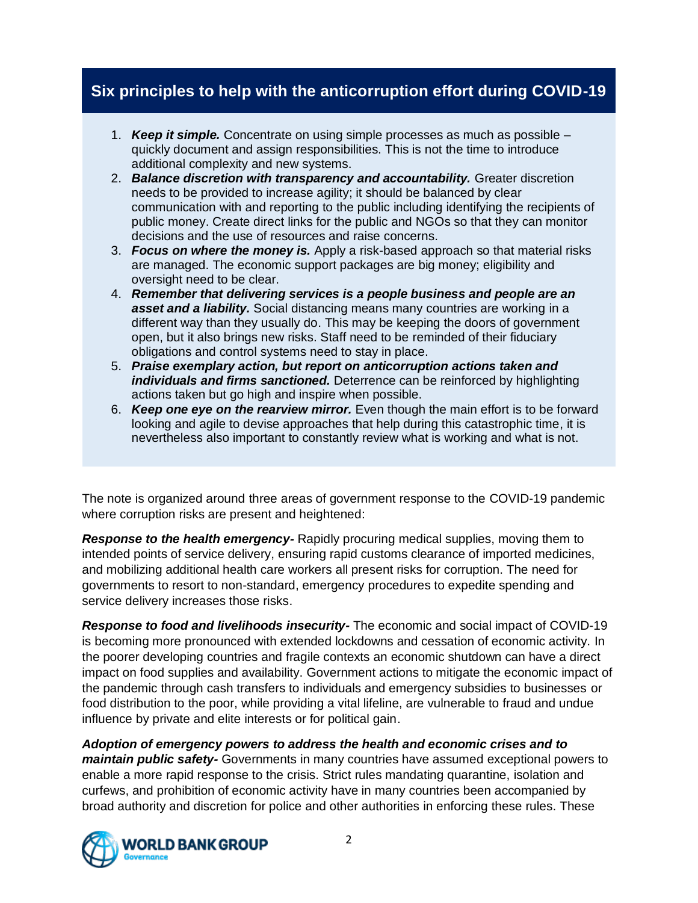# **Six principles to help with the anticorruption effort during COVID-19**

- 1. *Keep it simple.* Concentrate on using simple processes as much as possible quickly document and assign responsibilities. This is not the time to introduce additional complexity and new systems.
- 2. *Balance discretion with transparency and accountability.* Greater discretion needs to be provided to increase agility; it should be balanced by clear communication with and reporting to the public including identifying the recipients of public money. Create direct links for the public and NGOs so that they can monitor decisions and the use of resources and raise concerns.
- 3. *Focus on where the money is.* Apply a risk-based approach so that material risks are managed. The economic support packages are big money; eligibility and oversight need to be clear.
- 4. *Remember that delivering services is a people business and people are an asset and a liability.* Social distancing means many countries are working in a different way than they usually do. This may be keeping the doors of government open, but it also brings new risks. Staff need to be reminded of their fiduciary obligations and control systems need to stay in place.
- 5. *Praise exemplary action, but report on anticorruption actions taken and individuals and firms sanctioned.* Deterrence can be reinforced by highlighting actions taken but go high and inspire when possible.
- 6. *Keep one eye on the rearview mirror.* Even though the main effort is to be forward looking and agile to devise approaches that help during this catastrophic time, it is nevertheless also important to constantly review what is working and what is not.

The note is organized around three areas of government response to the COVID-19 pandemic where corruption risks are present and heightened:

*Response to the health emergency-* Rapidly procuring medical supplies, moving them to intended points of service delivery, ensuring rapid customs clearance of imported medicines, and mobilizing additional health care workers all present risks for corruption. The need for governments to resort to non-standard, emergency procedures to expedite spending and service delivery increases those risks.

*Response to food and livelihoods insecurity-* The economic and social impact of COVID-19 is becoming more pronounced with extended lockdowns and cessation of economic activity. In the poorer developing countries and fragile contexts an economic shutdown can have a direct impact on food supplies and availability. Government actions to mitigate the economic impact of the pandemic through cash transfers to individuals and emergency subsidies to businesses or food distribution to the poor, while providing a vital lifeline, are vulnerable to fraud and undue influence by private and elite interests or for political gain.

*Adoption of emergency powers to address the health and economic crises and to maintain public safety-* Governments in many countries have assumed exceptional powers to enable a more rapid response to the crisis. Strict rules mandating quarantine, isolation and curfews, and prohibition of economic activity have in many countries been accompanied by broad authority and discretion for police and other authorities in enforcing these rules. These

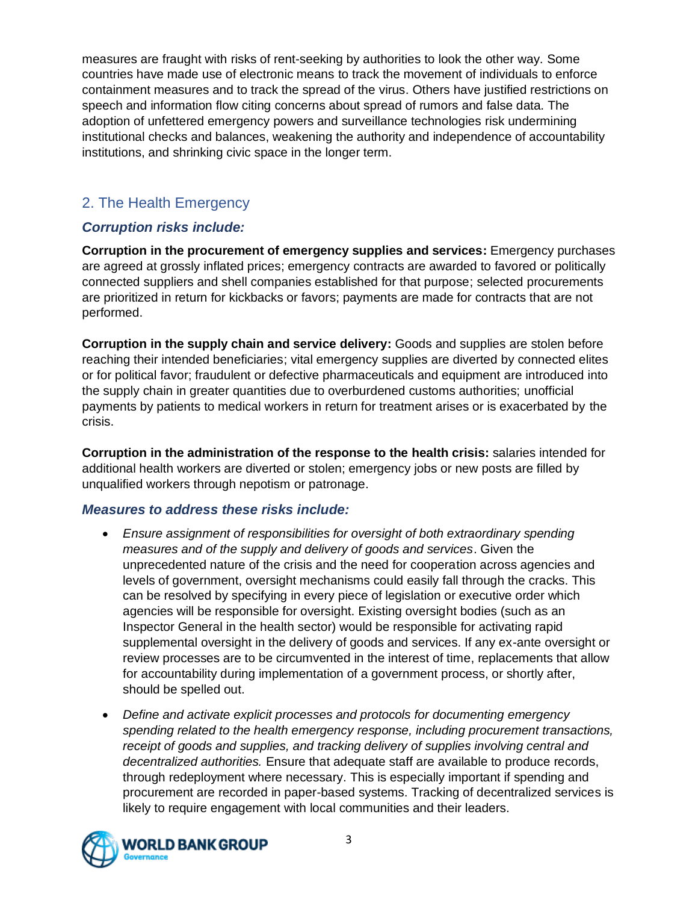measures are fraught with risks of rent-seeking by authorities to look the other way. Some countries have made use of electronic means to track the movement of individuals to enforce containment measures and to track the spread of the virus. Others have justified restrictions on speech and information flow citing concerns about spread of rumors and false data. The adoption of unfettered emergency powers and surveillance technologies risk undermining institutional checks and balances, weakening the authority and independence of accountability institutions, and shrinking civic space in the longer term.

# 2. The Health Emergency

## *Corruption risks include:*

**Corruption in the procurement of emergency supplies and services:** Emergency purchases are agreed at grossly inflated prices; emergency contracts are awarded to favored or politically connected suppliers and shell companies established for that purpose; selected procurements are prioritized in return for kickbacks or favors; payments are made for contracts that are not performed.

**Corruption in the supply chain and service delivery:** Goods and supplies are stolen before reaching their intended beneficiaries; vital emergency supplies are diverted by connected elites or for political favor; fraudulent or defective pharmaceuticals and equipment are introduced into the supply chain in greater quantities due to overburdened customs authorities; unofficial payments by patients to medical workers in return for treatment arises or is exacerbated by the crisis.

**Corruption in the administration of the response to the health crisis:** salaries intended for additional health workers are diverted or stolen; emergency jobs or new posts are filled by unqualified workers through nepotism or patronage.

#### *Measures to address these risks include:*

- *Ensure assignment of responsibilities for oversight of both extraordinary spending measures and of the supply and delivery of goods and services*. Given the unprecedented nature of the crisis and the need for cooperation across agencies and levels of government, oversight mechanisms could easily fall through the cracks. This can be resolved by specifying in every piece of legislation or executive order which agencies will be responsible for oversight. Existing oversight bodies (such as an Inspector General in the health sector) would be responsible for activating rapid supplemental oversight in the delivery of goods and services. If any ex-ante oversight or review processes are to be circumvented in the interest of time, replacements that allow for accountability during implementation of a government process, or shortly after, should be spelled out.
- *Define and activate explicit processes and protocols for documenting emergency spending related to the health emergency response, including procurement transactions, receipt of goods and supplies, and tracking delivery of supplies involving central and decentralized authorities.* Ensure that adequate staff are available to produce records, through redeployment where necessary. This is especially important if spending and procurement are recorded in paper-based systems. Tracking of decentralized services is likely to require engagement with local communities and their leaders.

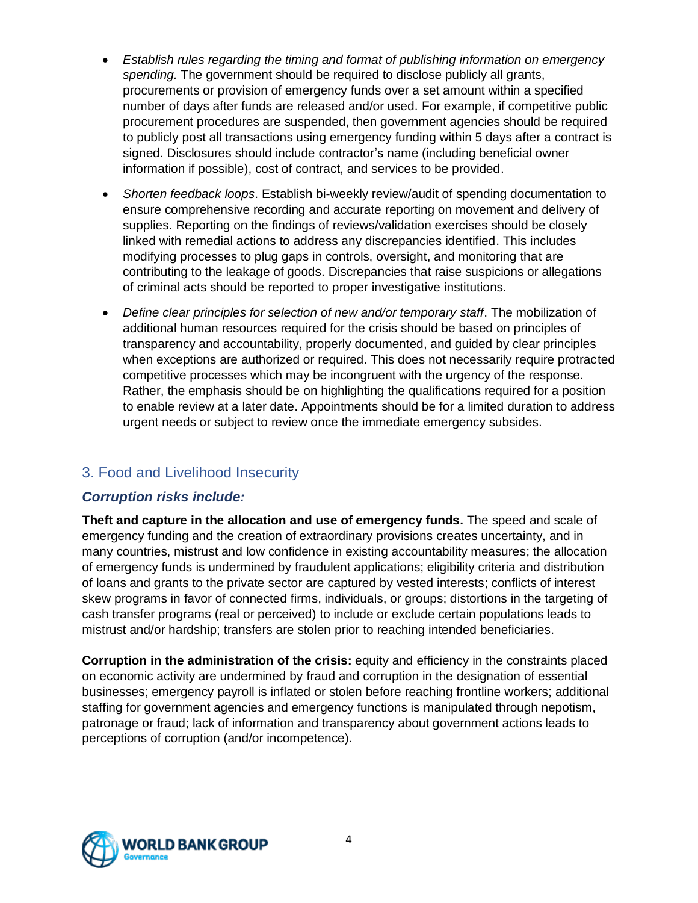- *Establish rules regarding the timing and format of publishing information on emergency spending.* The government should be required to disclose publicly all grants, procurements or provision of emergency funds over a set amount within a specified number of days after funds are released and/or used. For example, if competitive public procurement procedures are suspended, then government agencies should be required to publicly post all transactions using emergency funding within 5 days after a contract is signed. Disclosures should include contractor's name (including beneficial owner information if possible), cost of contract, and services to be provided.
- *Shorten feedback loops*. Establish bi-weekly review/audit of spending documentation to ensure comprehensive recording and accurate reporting on movement and delivery of supplies. Reporting on the findings of reviews/validation exercises should be closely linked with remedial actions to address any discrepancies identified. This includes modifying processes to plug gaps in controls, oversight, and monitoring that are contributing to the leakage of goods. Discrepancies that raise suspicions or allegations of criminal acts should be reported to proper investigative institutions.
- *Define clear principles for selection of new and/or temporary staff*. The mobilization of additional human resources required for the crisis should be based on principles of transparency and accountability, properly documented, and guided by clear principles when exceptions are authorized or required. This does not necessarily require protracted competitive processes which may be incongruent with the urgency of the response. Rather, the emphasis should be on highlighting the qualifications required for a position to enable review at a later date. Appointments should be for a limited duration to address urgent needs or subject to review once the immediate emergency subsides.

# 3. Food and Livelihood Insecurity

## *Corruption risks include:*

**Theft and capture in the allocation and use of emergency funds.** The speed and scale of emergency funding and the creation of extraordinary provisions creates uncertainty, and in many countries, mistrust and low confidence in existing accountability measures; the allocation of emergency funds is undermined by fraudulent applications; eligibility criteria and distribution of loans and grants to the private sector are captured by vested interests; conflicts of interest skew programs in favor of connected firms, individuals, or groups; distortions in the targeting of cash transfer programs (real or perceived) to include or exclude certain populations leads to mistrust and/or hardship; transfers are stolen prior to reaching intended beneficiaries.

**Corruption in the administration of the crisis:** equity and efficiency in the constraints placed on economic activity are undermined by fraud and corruption in the designation of essential businesses; emergency payroll is inflated or stolen before reaching frontline workers; additional staffing for government agencies and emergency functions is manipulated through nepotism, patronage or fraud; lack of information and transparency about government actions leads to perceptions of corruption (and/or incompetence).

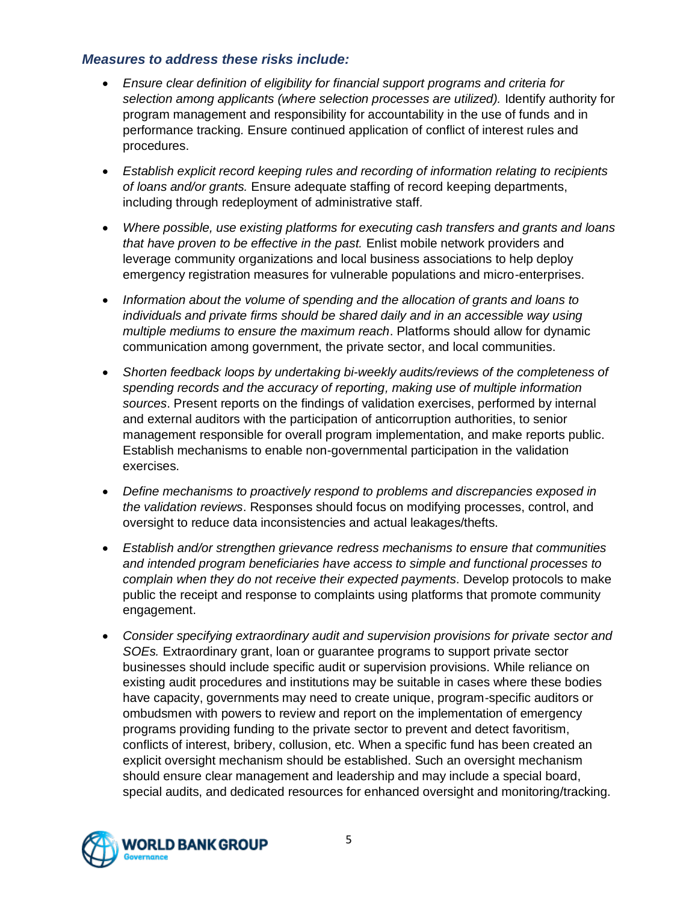#### *Measures to address these risks include:*

- *Ensure clear definition of eligibility for financial support programs and criteria for*  selection among applicants (where selection processes are utilized). Identify authority for program management and responsibility for accountability in the use of funds and in performance tracking*.* Ensure continued application of conflict of interest rules and procedures.
- *Establish explicit record keeping rules and recording of information relating to recipients of loans and/or grants.* Ensure adequate staffing of record keeping departments, including through redeployment of administrative staff*.*
- *Where possible, use existing platforms for executing cash transfers and grants and loans that have proven to be effective in the past.* Enlist mobile network providers and leverage community organizations and local business associations to help deploy emergency registration measures for vulnerable populations and micro-enterprises.
- *Information about the volume of spending and the allocation of grants and loans to individuals and private firms should be shared daily and in an accessible way using multiple mediums to ensure the maximum reach*. Platforms should allow for dynamic communication among government, the private sector, and local communities.
- *Shorten feedback loops by undertaking bi-weekly audits/reviews of the completeness of spending records and the accuracy of reporting, making use of multiple information sources*. Present reports on the findings of validation exercises, performed by internal and external auditors with the participation of anticorruption authorities, to senior management responsible for overall program implementation, and make reports public. Establish mechanisms to enable non-governmental participation in the validation exercises.
- *Define mechanisms to proactively respond to problems and discrepancies exposed in the validation reviews*. Responses should focus on modifying processes, control, and oversight to reduce data inconsistencies and actual leakages/thefts.
- *Establish and/or strengthen grievance redress mechanisms to ensure that communities and intended program beneficiaries have access to simple and functional processes to complain when they do not receive their expected payments*. Develop protocols to make public the receipt and response to complaints using platforms that promote community engagement.
- *Consider specifying extraordinary audit and supervision provisions for private sector and SOEs.* Extraordinary grant, loan or guarantee programs to support private sector businesses should include specific audit or supervision provisions. While reliance on existing audit procedures and institutions may be suitable in cases where these bodies have capacity, governments may need to create unique, program-specific auditors or ombudsmen with powers to review and report on the implementation of emergency programs providing funding to the private sector to prevent and detect favoritism, conflicts of interest, bribery, collusion, etc. When a specific fund has been created an explicit oversight mechanism should be established. Such an oversight mechanism should ensure clear management and leadership and may include a special board, special audits, and dedicated resources for enhanced oversight and monitoring/tracking.

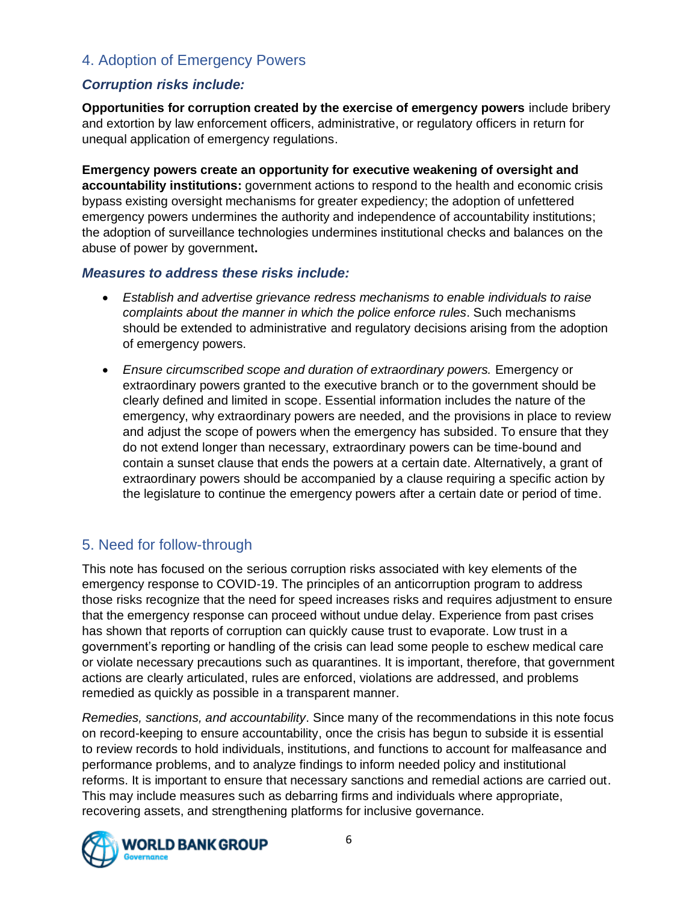# 4. Adoption of Emergency Powers

## *Corruption risks include:*

**Opportunities for corruption created by the exercise of emergency powers** include bribery and extortion by law enforcement officers, administrative, or regulatory officers in return for unequal application of emergency regulations.

**Emergency powers create an opportunity for executive weakening of oversight and accountability institutions:** government actions to respond to the health and economic crisis bypass existing oversight mechanisms for greater expediency; the adoption of unfettered emergency powers undermines the authority and independence of accountability institutions; the adoption of surveillance technologies undermines institutional checks and balances on the abuse of power by government**.**

#### *Measures to address these risks include:*

- *Establish and advertise grievance redress mechanisms to enable individuals to raise complaints about the manner in which the police enforce rules*. Such mechanisms should be extended to administrative and regulatory decisions arising from the adoption of emergency powers.
- *Ensure circumscribed scope and duration of extraordinary powers.* Emergency or extraordinary powers granted to the executive branch or to the government should be clearly defined and limited in scope. Essential information includes the nature of the emergency, why extraordinary powers are needed, and the provisions in place to review and adjust the scope of powers when the emergency has subsided. To ensure that they do not extend longer than necessary, extraordinary powers can be time-bound and contain a sunset clause that ends the powers at a certain date. Alternatively, a grant of extraordinary powers should be accompanied by a clause requiring a specific action by the legislature to continue the emergency powers after a certain date or period of time.

# 5. Need for follow-through

This note has focused on the serious corruption risks associated with key elements of the emergency response to COVID-19. The principles of an anticorruption program to address those risks recognize that the need for speed increases risks and requires adjustment to ensure that the emergency response can proceed without undue delay. Experience from past crises has shown that reports of corruption can quickly cause trust to evaporate. Low trust in a government's reporting or handling of the crisis can lead some people to eschew medical care or violate necessary precautions such as quarantines. It is important, therefore, that government actions are clearly articulated, rules are enforced, violations are addressed, and problems remedied as quickly as possible in a transparent manner.

*Remedies, sanctions, and accountability*. Since many of the recommendations in this note focus on record-keeping to ensure accountability, once the crisis has begun to subside it is essential to review records to hold individuals, institutions, and functions to account for malfeasance and performance problems, and to analyze findings to inform needed policy and institutional reforms. It is important to ensure that necessary sanctions and remedial actions are carried out. This may include measures such as debarring firms and individuals where appropriate, recovering assets, and strengthening platforms for inclusive governance.